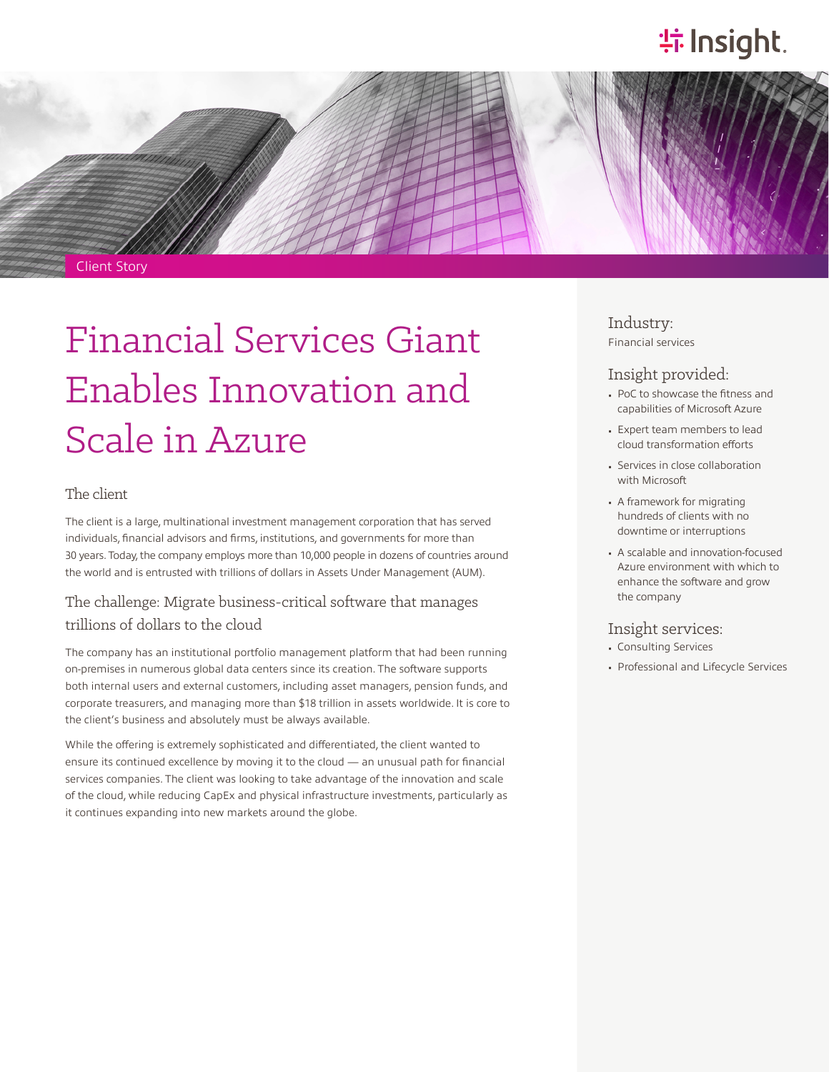# **特Insight**.



Client Story

# Financial Services Giant Enables Innovation and Scale in Azure

#### The client

The client is a large, multinational investment management corporation that has served individuals, financial advisors and firms, institutions, and governments for more than 30 years. Today, the company employs more than 10,000 people in dozens of countries around the world and is entrusted with trillions of dollars in Assets Under Management (AUM).

### The challenge: Migrate business-critical software that manages trillions of dollars to the cloud

The company has an institutional portfolio management platform that had been running on-premises in numerous global data centers since its creation. The software supports both internal users and external customers, including asset managers, pension funds, and corporate treasurers, and managing more than \$18 trillion in assets worldwide. It is core to the client's business and absolutely must be always available.

While the offering is extremely sophisticated and differentiated, the client wanted to ensure its continued excellence by moving it to the cloud — an unusual path for financial services companies. The client was looking to take advantage of the innovation and scale of the cloud, while reducing CapEx and physical infrastructure investments, particularly as it continues expanding into new markets around the globe.

Industry: Financial services

## Insight provided:

- PoC to showcase the fitness and capabilities of Microsoft Azure
- Expert team members to lead cloud transformation efforts
- Services in close collaboration with Microsoft
- A framework for migrating hundreds of clients with no downtime or interruptions
- A scalable and innovation-focused Azure environment with which to enhance the software and grow the company

#### Insight services:

- Consulting Services
- Professional and Lifecycle Services